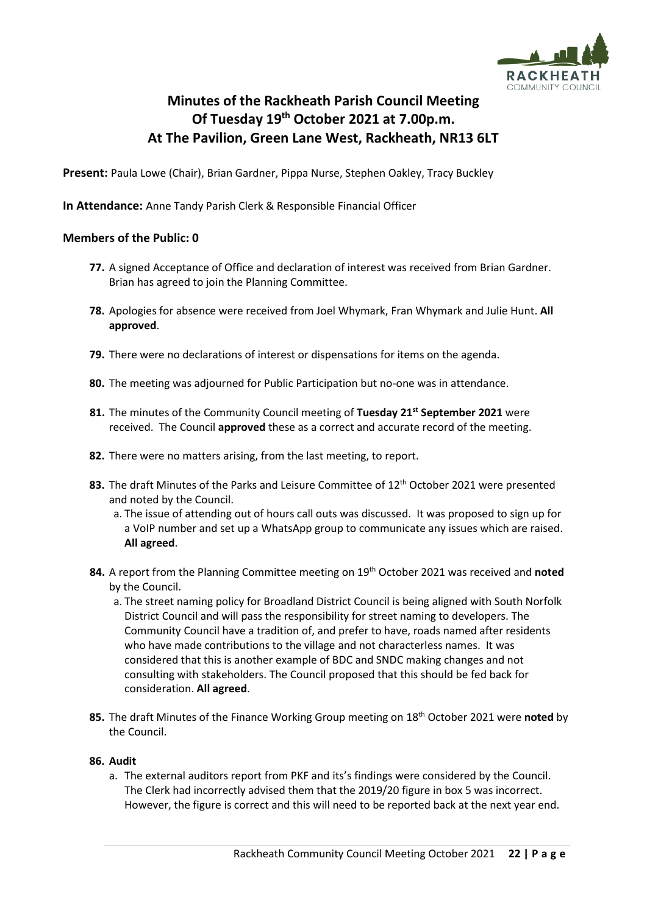

# **Minutes of the Rackheath Parish Council Meeting Of Tuesday 19 th October 2021 at 7.00p.m. At The Pavilion, Green Lane West, Rackheath, NR13 6LT**

**Present:** Paula Lowe (Chair), Brian Gardner, Pippa Nurse, Stephen Oakley, Tracy Buckley

**In Attendance:** Anne Tandy Parish Clerk & Responsible Financial Officer

## **Members of the Public: 0**

- **77.** A signed Acceptance of Office and declaration of interest was received from Brian Gardner. Brian has agreed to join the Planning Committee.
- **78.** Apologies for absence were received from Joel Whymark, Fran Whymark and Julie Hunt. **All approved**.
- **79.** There were no declarations of interest or dispensations for items on the agenda.
- **80.** The meeting was adjourned for Public Participation but no-one was in attendance.
- **81.** The minutes of the Community Council meeting of **Tuesday 21 st September 2021** were received. The Council **approved** these as a correct and accurate record of the meeting.
- **82.** There were no matters arising, from the last meeting, to report.
- 83. The draft Minutes of the Parks and Leisure Committee of 12<sup>th</sup> October 2021 were presented and noted by the Council.
	- a. The issue of attending out of hours call outs was discussed. It was proposed to sign up for a VoIP number and set up a WhatsApp group to communicate any issues which are raised. **All agreed**.
- **84.** A report from the Planning Committee meeting on 19<sup>th</sup> October 2021 was received and **noted** by the Council.
	- a. The street naming policy for Broadland District Council is being aligned with South Norfolk District Council and will pass the responsibility for street naming to developers. The Community Council have a tradition of, and prefer to have, roads named after residents who have made contributions to the village and not characterless names. It was considered that this is another example of BDC and SNDC making changes and not consulting with stakeholders. The Council proposed that this should be fed back for consideration. **All agreed**.
- **85.** The draft Minutes of the Finance Working Group meeting on 18 th October 2021 were **noted** by the Council.

### **86. Audit**

a. The external auditors report from PKF and its's findings were considered by the Council. The Clerk had incorrectly advised them that the 2019/20 figure in box 5 was incorrect. However, the figure is correct and this will need to be reported back at the next year end.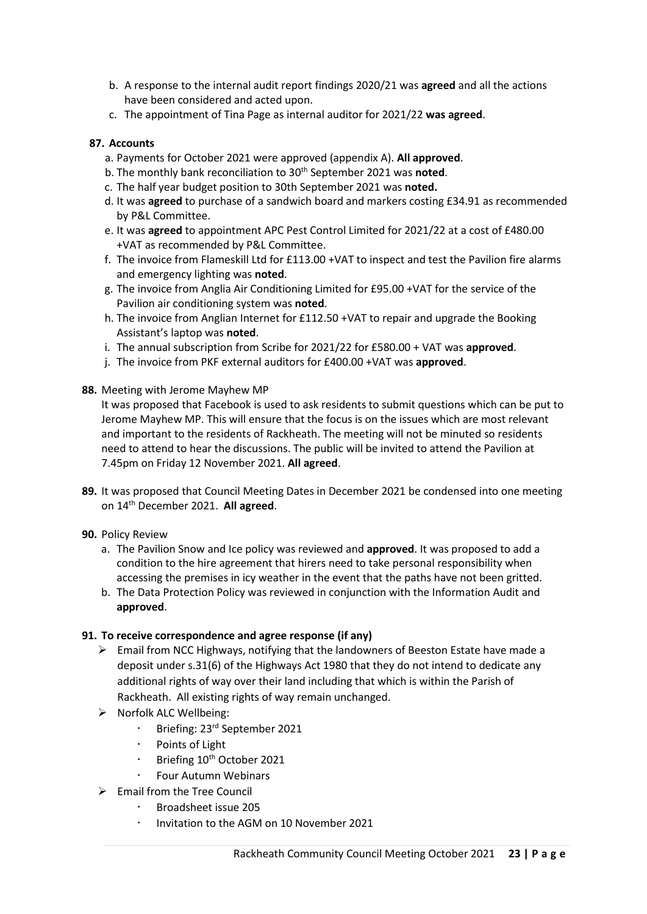- b. A response to the internal audit report findings 2020/21 was **agreed** and all the actions have been considered and acted upon.
- c. The appointment of Tina Page as internal auditor for 2021/22 **was agreed**.

#### **87. Accounts**

- a. Payments for October 2021 were approved (appendix A). **All approved**.
- b. The monthly bank reconciliation to 30<sup>th</sup> September 2021 was noted.
- c. The half year budget position to 30th September 2021 was **noted.**
- d. It was **agreed** to purchase of a sandwich board and markers costing £34.91 as recommended by P&L Committee.
- e. It was **agreed** to appointment APC Pest Control Limited for 2021/22 at a cost of £480.00 +VAT as recommended by P&L Committee.
- f. The invoice from Flameskill Ltd for £113.00 +VAT to inspect and test the Pavilion fire alarms and emergency lighting was **noted**.
- g. The invoice from Anglia Air Conditioning Limited for £95.00 +VAT for the service of the Pavilion air conditioning system was **noted**.
- h. The invoice from Anglian Internet for £112.50 +VAT to repair and upgrade the Booking Assistant's laptop was **noted**.
- i. The annual subscription from Scribe for 2021/22 for £580.00 + VAT was **approved**.
- j. The invoice from PKF external auditors for £400.00 +VAT was **approved**.
- **88.** Meeting with Jerome Mayhew MP

It was proposed that Facebook is used to ask residents to submit questions which can be put to Jerome Mayhew MP. This will ensure that the focus is on the issues which are most relevant and important to the residents of Rackheath. The meeting will not be minuted so residents need to attend to hear the discussions. The public will be invited to attend the Pavilion at 7.45pm on Friday 12 November 2021. **All agreed**.

- **89.** It was proposed that Council Meeting Dates in December 2021 be condensed into one meeting on 14th December 2021. **All agreed**.
- **90.** Policy Review
	- a. The Pavilion Snow and Ice policy was reviewed and **approved**. It was proposed to add a condition to the hire agreement that hirers need to take personal responsibility when accessing the premises in icy weather in the event that the paths have not been gritted.
	- b. The Data Protection Policy was reviewed in conjunction with the Information Audit and **approved**.

#### **91. To receive correspondence and agree response (if any)**

- ➢ Email from NCC Highways, notifying that the landowners of Beeston Estate have made a deposit under s.31(6) of the Highways Act 1980 that they do not intend to dedicate any additional rights of way over their land including that which is within the Parish of Rackheath. All existing rights of way remain unchanged.
- ➢ Norfolk ALC Wellbeing:
	- **Briefing: 23<sup>rd</sup> September 2021**
	- Points of Light
	- Briefing 10<sup>th</sup> October 2021
	- Four Autumn Webinars
- $\triangleright$  Email from the Tree Council
	- Broadsheet issue 205
	- Invitation to the AGM on 10 November 2021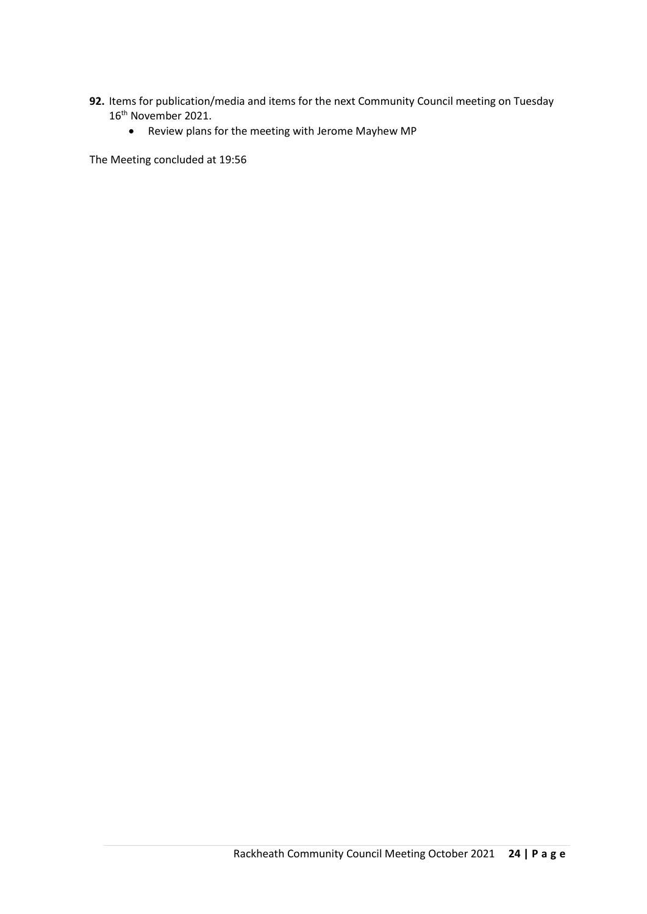- **92.** Items for publication/media and items for the next Community Council meeting on Tuesday 16<sup>th</sup> November 2021.
	- Review plans for the meeting with Jerome Mayhew MP

The Meeting concluded at 19:56